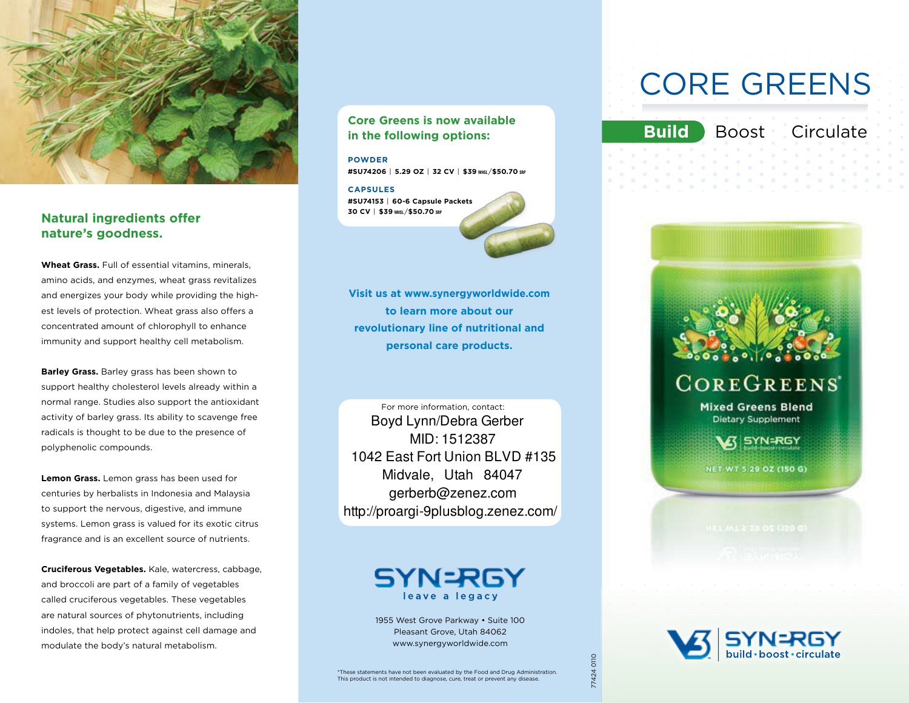

## **Natural ingredients offer nature's goodness.**

**Wheat Grass.** Full of essential vitamins, minerals, amino acids, and enzymes, wheat grass revitalizes and energizes your body while providing the highest levels of protection. Wheat grass also offers a concentrated amount of chlorophyll to enhance immunity and support healthy cell metabolism.

**Barley Grass.** Barley grass has been shown to support healthy cholesterol levels already within a normal range. Studies also support the antioxidant activity of barley grass. Its ability to scavenge free radicals is thought to be due to the presence of polyphenolic compounds.

**Lemon Grass.** Lemon grass has been used for centuries by herbalists in Indonesia and Malaysia to support the nervous, digestive, and immune systems. Lemon grass is valued for its exotic citrus fragrance and is an excellent source of nutrients.

**Cruciferous Vegetables.** Kale, watercress, cabbage, and broccoli are part of a family of vegetables called cruciferous vegetables. These vegetables are natural sources of phytonutrients, including indoles, that help protect against cell damage and modulate the body's natural metabolism.

## **Core Greens is now available in the following options:**

**PoWder #su74206** | **5.29 oz** | **32 CV** | **\$39 WHSL** /**\$50.70 Srp**

**CaPsuLes #su74153** | **60-6 Capsule Packets 30 CV** | **\$39 WHSL** /**\$50.70 Srp**



**Visit us at www.synergyworldwide.com to learn more about our revolutionary line of nutritional and personal care products.**

For more information, contact: Boyd Lynn/Debra Gerber MID: 1512387 1042 East Fort Union BLVD #135 Midvale, Utah 84047 gerberb@zenez.com http://proargi-9plusblog.zenez.com/



1955 West Grove Parkway • Suite 100 Pleasant Grove, Utah 84062 www.synergyworldwide.com

**Build** Boost Circulate



## **COREGREENS**

**Mixed Greens Blend Dietary Supplement** 

**SYN=RGY** 

NET WT 5.29 OZ (150 G)



77424 0110

77424 0110